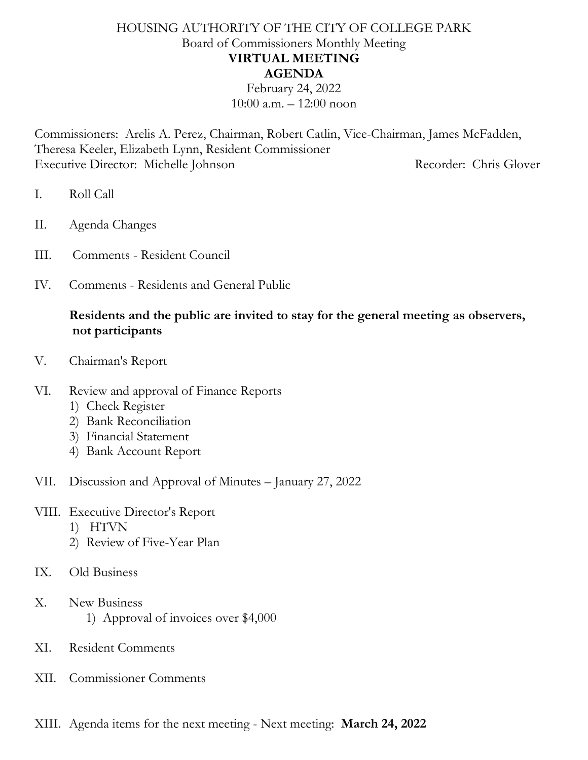## HOUSING AUTHORITY OF THE CITY OF COLLEGE PARK Board of Commissioners Monthly Meeting **VIRTUAL MEETING AGENDA**

February 24, 2022  $10:00$  a.m.  $-12:00$  noon

Commissioners: Arelis A. Perez, Chairman, Robert Catlin, Vice-Chairman, James McFadden, Theresa Keeler, Elizabeth Lynn, Resident Commissioner Executive Director: Michelle Johnson Recorder: Chris Glover

- I. Roll Call
- II. Agenda Changes
- III. Comments Resident Council
- IV. Comments Residents and General Public

## **Residents and the public are invited to stay for the general meeting as observers, not participants**

- V. Chairman's Report
- VI. Review and approval of Finance Reports
	- 1) Check Register
	- 2) Bank Reconciliation
	- 3) Financial Statement
	- 4) Bank Account Report
- VII. Discussion and Approval of Minutes January 27, 2022
- VIII. Executive Director's Report
	- 1) HTVN
	- 2) Review of Five-Year Plan
- IX. Old Business
- X. New Business
	- 1) Approval of invoices over \$4,000
- XI. Resident Comments
- XII. Commissioner Comments
- XIII. Agenda items for the next meeting Next meeting: **March 24, 2022**